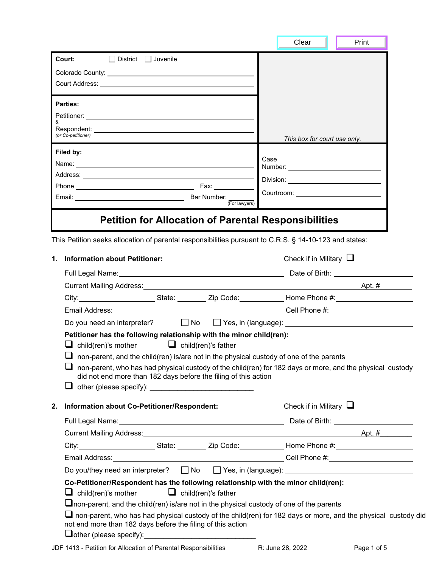|                                                                                                                                                                                                                                                    | Clear<br>Print                                                                                                 |
|----------------------------------------------------------------------------------------------------------------------------------------------------------------------------------------------------------------------------------------------------|----------------------------------------------------------------------------------------------------------------|
| Court:<br>□ District □ Juvenile                                                                                                                                                                                                                    |                                                                                                                |
|                                                                                                                                                                                                                                                    |                                                                                                                |
|                                                                                                                                                                                                                                                    |                                                                                                                |
| <b>Parties:</b>                                                                                                                                                                                                                                    |                                                                                                                |
|                                                                                                                                                                                                                                                    |                                                                                                                |
|                                                                                                                                                                                                                                                    |                                                                                                                |
| (or Co-petitioner)                                                                                                                                                                                                                                 | This box for court use only.                                                                                   |
| Filed by:                                                                                                                                                                                                                                          |                                                                                                                |
|                                                                                                                                                                                                                                                    | Case                                                                                                           |
|                                                                                                                                                                                                                                                    | Division: University of the University of the University of the University of the University of the University |
| Fax: ___________<br>Email: Email: Email: Email: Email: Email: Email: Email: Email: Email: Email: Email: Email: Email: Email: Email: Email: Email: Email: Email: Email: Email: Email: Email: Email: Email: Email: Email: Email: Email: Email: Email |                                                                                                                |
|                                                                                                                                                                                                                                                    |                                                                                                                |
| <b>Petition for Allocation of Parental Responsibilities</b>                                                                                                                                                                                        |                                                                                                                |
| This Petition seeks allocation of parental responsibilities pursuant to C.R.S. § 14-10-123 and states:                                                                                                                                             |                                                                                                                |
| <b>Information about Petitioner:</b><br>1.                                                                                                                                                                                                         | Check if in Military $\Box$                                                                                    |
|                                                                                                                                                                                                                                                    |                                                                                                                |
|                                                                                                                                                                                                                                                    |                                                                                                                |
|                                                                                                                                                                                                                                                    |                                                                                                                |
|                                                                                                                                                                                                                                                    |                                                                                                                |
| Do you need an interpreter? □ No □ Yes, in (language): <u>□ No III Yes, in (language):</u>                                                                                                                                                         |                                                                                                                |
| Petitioner has the following relationship with the minor child(ren):                                                                                                                                                                               |                                                                                                                |
| $\Box$ child(ren)'s mother $\Box$ child(ren)'s father                                                                                                                                                                                              |                                                                                                                |
| $\Box$ non-parent, and the child(ren) is/are not in the physical custody of one of the parents<br>$\Box$ non-parent, who has had physical custody of the child(ren) for 182 days or more, and the physical custody                                 |                                                                                                                |
| did not end more than 182 days before the filing of this action                                                                                                                                                                                    |                                                                                                                |
|                                                                                                                                                                                                                                                    |                                                                                                                |
| Information about Co-Petitioner/Respondent:<br>2.                                                                                                                                                                                                  | Check if in Military $\Box$                                                                                    |
|                                                                                                                                                                                                                                                    |                                                                                                                |
|                                                                                                                                                                                                                                                    |                                                                                                                |
| City:___________________________State: ___________ Zip Code:_____________Home Phone #:________________________                                                                                                                                     |                                                                                                                |
|                                                                                                                                                                                                                                                    |                                                                                                                |
|                                                                                                                                                                                                                                                    |                                                                                                                |
| Co-Petitioner/Respondent has the following relationship with the minor child(ren):<br>$\Box$ child(ren)'s mother<br><b>L</b> child(ren)'s father                                                                                                   |                                                                                                                |
|                                                                                                                                                                                                                                                    |                                                                                                                |
|                                                                                                                                                                                                                                                    |                                                                                                                |
| $\Box$ non-parent, and the child(ren) is/are not in the physical custody of one of the parents<br>$\Box$ non-parent, who has had physical custody of the child(ren) for 182 days or more, and the physical custody did                             |                                                                                                                |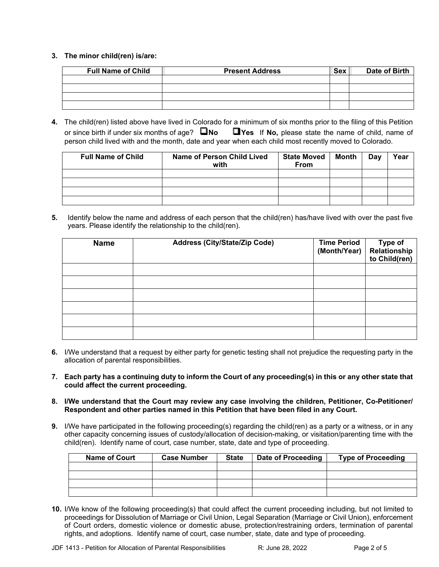## **3. The minor child(ren) is/are:**

| <b>Full Name of Child</b> | <b>Present Address</b> | <b>Sex</b> | Date of Birth |
|---------------------------|------------------------|------------|---------------|
|                           |                        |            |               |
|                           |                        |            |               |
|                           |                        |            |               |
|                           |                        |            |               |

**4.** The child(ren) listed above have lived in Colorado for a minimum of six months prior to the filing of this Petition or since birth if under six months of age? **No Yes** If **No,** please state the name of child, name of person child lived with and the month, date and year when each child most recently moved to Colorado.

| <b>Full Name of Child</b> | <b>Name of Person Child Lived</b><br>with | <b>State Moved</b><br><b>From</b> | Month | Day | Year |
|---------------------------|-------------------------------------------|-----------------------------------|-------|-----|------|
|                           |                                           |                                   |       |     |      |
|                           |                                           |                                   |       |     |      |
|                           |                                           |                                   |       |     |      |
|                           |                                           |                                   |       |     |      |

**5.** Identify below the name and address of each person that the child(ren) has/have lived with over the past five years. Please identify the relationship to the child(ren).

| <b>Name</b> | <b>Address (City/State/Zip Code)</b> | <b>Time Period</b><br>(Month/Year) | Type of<br>Relationship<br>to Child(ren) |
|-------------|--------------------------------------|------------------------------------|------------------------------------------|
|             |                                      |                                    |                                          |
|             |                                      |                                    |                                          |
|             |                                      |                                    |                                          |
|             |                                      |                                    |                                          |
|             |                                      |                                    |                                          |
|             |                                      |                                    |                                          |

- **6.** I/We understand that a request by either party for genetic testing shall not prejudice the requesting party in the allocation of parental responsibilities.
- **7. Each party has a continuing duty to inform the Court of any proceeding(s) in this or any other state that could affect the current proceeding.**
- **8. I/We understand that the Court may review any case involving the children, Petitioner, Co-Petitioner/ Respondent and other parties named in this Petition that have been filed in any Court.**
- **9.** I/We have participated in the following proceeding(s) regarding the child(ren) as a party or a witness, or in any other capacity concerning issues of custody/allocation of decision-making, or visitation/parenting time with the child(ren). Identify name of court, case number, state, date and type of proceeding.

| <b>Name of Court</b> | <b>Case Number</b> | <b>State</b> | Date of Proceeding | <b>Type of Proceeding</b> |
|----------------------|--------------------|--------------|--------------------|---------------------------|
|                      |                    |              |                    |                           |
|                      |                    |              |                    |                           |
|                      |                    |              |                    |                           |
|                      |                    |              |                    |                           |

**10.** I/We know of the following proceeding(s) that could affect the current proceeding including, but not limited to proceedings for Dissolution of Marriage or Civil Union, Legal Separation (Marriage or Civil Union), enforcement of Court orders, domestic violence or domestic abuse, protection/restraining orders, termination of parental rights, and adoptions. Identify name of court, case number, state, date and type of proceeding.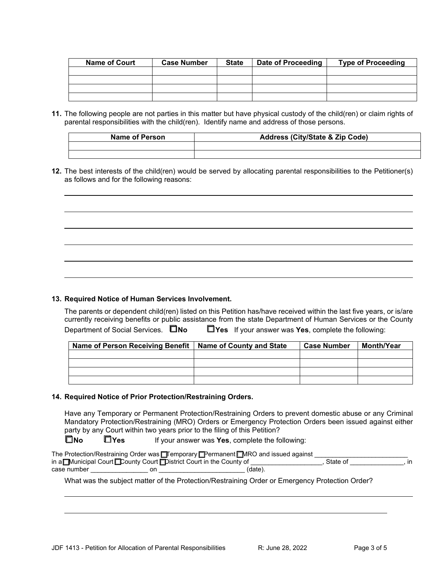| <b>Name of Court</b> | <b>Case Number</b> | <b>State</b> | Date of Proceeding | <b>Type of Proceeding</b> |
|----------------------|--------------------|--------------|--------------------|---------------------------|
|                      |                    |              |                    |                           |
|                      |                    |              |                    |                           |
|                      |                    |              |                    |                           |
|                      |                    |              |                    |                           |

**11.** The following people are not parties in this matter but have physical custody of the child(ren) or claim rights of parental responsibilities with the child(ren). Identify name and address of those persons.

| Name of Person | <b>Address (City/State &amp; Zip Code)</b> |
|----------------|--------------------------------------------|
|                |                                            |
|                |                                            |

**12.** The best interests of the child(ren) would be served by allocating parental responsibilities to the Petitioner(s) as follows and for the following reasons:

## **13. Required Notice of Human Services Involvement.**

 $\ddot{\phantom{a}}$ 

l

 $\ddot{\phantom{a}}$ 

l

The parents or dependent child(ren) listed on this Petition has/have received within the last five years, or is/are currently receiving benefits or public assistance from the state Department of Human Services or the County Department of Social Services.  $\Box$ No  $\Box$ Yes If your answer was Yes, complete the following:

| Name of Person Receiving Benefit   Name of County and State | <b>Case Number</b> | Month/Year |
|-------------------------------------------------------------|--------------------|------------|
|                                                             |                    |            |
|                                                             |                    |            |
|                                                             |                    |            |
|                                                             |                    |            |

## **14. Required Notice of Prior Protection/Restraining Orders.**

Have any Temporary or Permanent Protection/Restraining Orders to prevent domestic abuse or any Criminal Mandatory Protection/Restraining (MRO) Orders or Emergency Protection Orders been issued against either party by any Court within two years prior to the filing of this Petition?

**No Yes** If your answer was **Yes**, complete the following:

|             | The Protection/Restraining Order was □ remporary □ Permanent □ MRO and issued against |         |          |               |
|-------------|---------------------------------------------------------------------------------------|---------|----------|---------------|
|             | in a Municipal Court County Court Obistrict Court in the County of                    |         | State of | $\mathsf{In}$ |
| case number | on                                                                                    | (date). |          |               |

What was the subject matter of the Protection/Restraining Order or Emergency Protection Order?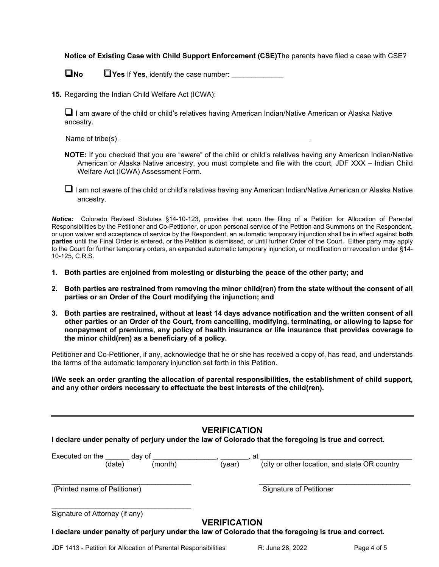**Notice of Existing Case with Child Support Enforcement (CSE)**The parents have filed a case with CSE?

**No** Pres If Yes, identify the case number:

**15.** Regarding the Indian Child Welfare Act (ICWA):

 I am aware of the child or child's relatives having American Indian/Native American or Alaska Native ancestry.

Name of tribe(s)

- **NOTE:** If you checked that you are "aware" of the child or child's relatives having any American Indian/Native American or Alaska Native ancestry, you must complete and file with the court, JDF XXX – Indian Child Welfare Act (ICWA) Assessment Form.
- $\Box$  I am not aware of the child or child's relatives having any American Indian/Native American or Alaska Native ancestry.

*Notice:*Colorado Revised Statutes §14-10-123, provides that upon the filing of a Petition for Allocation of Parental Responsibilities by the Petitioner and Co-Petitioner, or upon personal service of the Petition and Summons on the Respondent, or upon waiver and acceptance of service by the Respondent, an automatic temporary injunction shall be in effect against **both parties** until the Final Order is entered, or the Petition is dismissed, or until further Order of the Court. Either party may apply to the Court for further temporary orders, an expanded automatic temporary injunction, or modification or revocation under §14- 10-125, C.R.S.

- **1. Both parties are enjoined from molesting or disturbing the peace of the other party; and**
- **2. Both parties are restrained from removing the minor child(ren) from the state without the consent of all parties or an Order of the Court modifying the injunction; and**
- **3. Both parties are restrained, without at least 14 days advance notification and the written consent of all other parties or an Order of the Court, from cancelling, modifying, terminating, or allowing to lapse for nonpayment of premiums, any policy of health insurance or life insurance that provides coverage to the minor child(ren) as a beneficiary of a policy.**

Petitioner and Co-Petitioner, if any, acknowledge that he or she has received a copy of, has read, and understands the terms of the automatic temporary injunction set forth in this Petition.

**I/We seek an order granting the allocation of parental responsibilities, the establishment of child support, and any other orders necessary to effectuate the best interests of the child(ren).**

| <b>VERIFICATION</b>                                                                                  |
|------------------------------------------------------------------------------------------------------|
| I declare under penalty of perjury under the law of Colorado that the foregoing is true and correct. |

| Executed on the                |        | dav of  |                     | at                                                                                                   |
|--------------------------------|--------|---------|---------------------|------------------------------------------------------------------------------------------------------|
|                                | (date) | (month) | (year)              | (city or other location, and state OR country                                                        |
| (Printed name of Petitioner)   |        |         |                     | <b>Signature of Petitioner</b>                                                                       |
| Signature of Attorney (if any) |        |         |                     |                                                                                                      |
|                                |        |         | <b>VERIFICATION</b> | I declare under penalty of perjury under the law of Colorado that the foregoing is true and correct. |